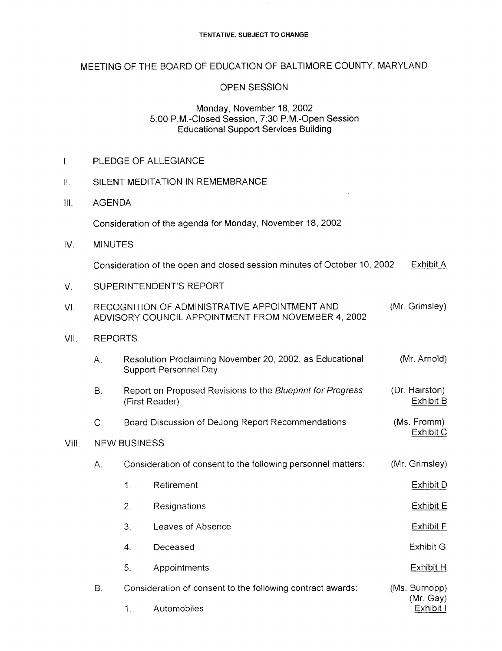#### TENTATIVE, SUBJECT TO CHANGE

# MEETING OF THE BOARD OF EDUCATION OF BALTIMORE COUNTY, MARYLAND

## OPEN SESSION

## Monday, November 18, 2002 5:00 P.M.-Closed Session, 7.30 P.M.-Open Session Educational Support Services Building

| Π.    | SILENT MEDITATION IN REMEMBRANCE                                                                                      |                                                                                                             |                                                                                   |                            |
|-------|-----------------------------------------------------------------------------------------------------------------------|-------------------------------------------------------------------------------------------------------------|-----------------------------------------------------------------------------------|----------------------------|
| Ⅲ.    | <b>AGENDA</b>                                                                                                         |                                                                                                             |                                                                                   |                            |
|       |                                                                                                                       |                                                                                                             | Consideration of the agenda for Monday, November 18, 2002                         |                            |
| IV.   | <b>MINUTES</b>                                                                                                        |                                                                                                             |                                                                                   |                            |
|       | Exhibit A<br>Consideration of the open and closed session minutes of October 10, 2002                                 |                                                                                                             |                                                                                   |                            |
| V.    | SUPERINTENDENT'S REPORT                                                                                               |                                                                                                             |                                                                                   |                            |
| VI.   | (Mr. Grimsley)<br>RECOGNITION OF ADMINISTRATIVE APPOINTMENT AND<br>ADVISORY COUNCIL APPOINTMENT FROM NOVEMBER 4, 2002 |                                                                                                             |                                                                                   |                            |
| VII.  | <b>REPORTS</b>                                                                                                        |                                                                                                             |                                                                                   |                            |
|       | Α.                                                                                                                    |                                                                                                             | Resolution Proclaiming November 20, 2002, as Educational<br>Support Personnel Day | (Mr. Arnold)               |
|       | В.                                                                                                                    | (Dr. Hairston)<br>Report on Proposed Revisions to the Blueprint for Progress<br>Exhibit B<br>(First Reader) |                                                                                   |                            |
|       | $C_{1}$                                                                                                               | Board Discussion of DeJong Report Recommendations<br>(Ms. Fromm)                                            |                                                                                   |                            |
| VIII. | Exhibit C<br><b>NEW BUSINESS</b>                                                                                      |                                                                                                             |                                                                                   |                            |
|       | Α.                                                                                                                    | (Mr. Grimsley)<br>Consideration of consent to the following personnel matters:                              |                                                                                   |                            |
|       |                                                                                                                       | 1.                                                                                                          | Retirement                                                                        | <b>Exhibit D</b>           |
|       |                                                                                                                       | 2.                                                                                                          | Resignations                                                                      | <b>Exhibit E</b>           |
|       |                                                                                                                       | 3.                                                                                                          | Leaves of Absence                                                                 | <b>Exhibit F</b>           |
|       |                                                                                                                       | 4.                                                                                                          | Deceased                                                                          | <b>Exhibit G</b>           |
|       |                                                                                                                       | 5.                                                                                                          | Appointments                                                                      | Exhibit H                  |
|       | <b>B.</b>                                                                                                             |                                                                                                             | Consideration of consent to the following contract awards:                        | (Ms. Burnopp)<br>(Mr. Gay) |

Exhibit I

# 1. Automobiles

PLEDGE OF ALLEGIANCE

 $\overline{L}$